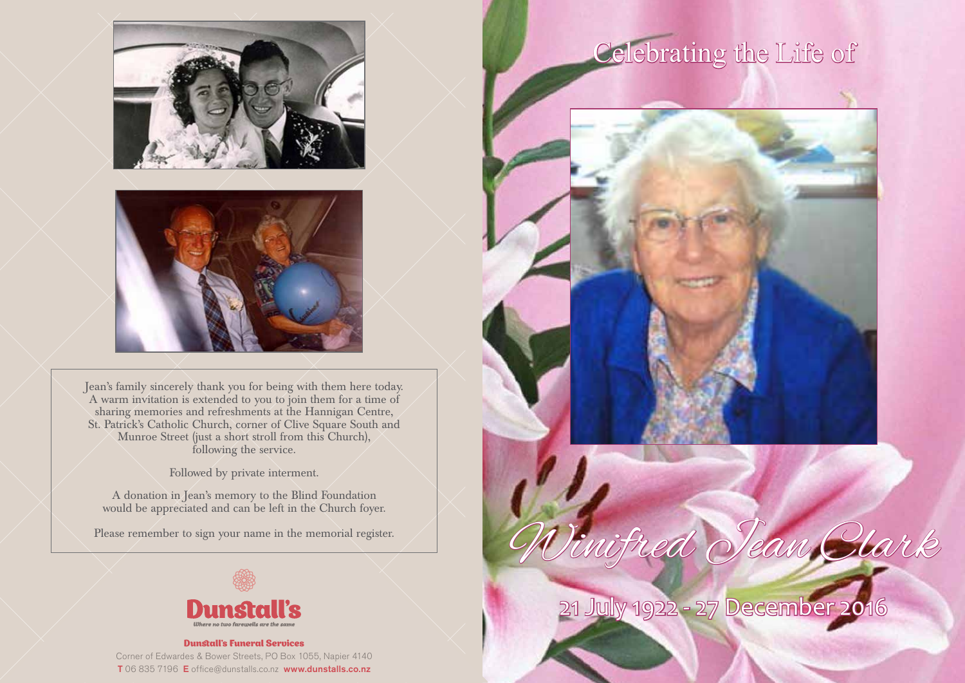



Jean's family sincerely thank you for being with them here today. A warm invitation is extended to you to join them for a time of sharing memories and refreshments at the Hannigan Centre, St. Patrick's Catholic Church, corner of Clive Square South and Munroe Street (just a short stroll from this Church), following the service.

Followed by private interment.

A donation in Jean's memory to the Blind Foundation would be appreciated and can be left in the Church foyer.

Please remember to sign your name in the memorial register.<br>
Winifred Sean Clark



Dunstall's Funeral Services Corner of Edwardes & Bower Streets, PO Box 1055, Napier 4140 T 06 835 7196 E office@dunstalls.co.nz www.dunstalls.co.nz

# Celebrating the Life of



21 July 1922 - 27 December 2016